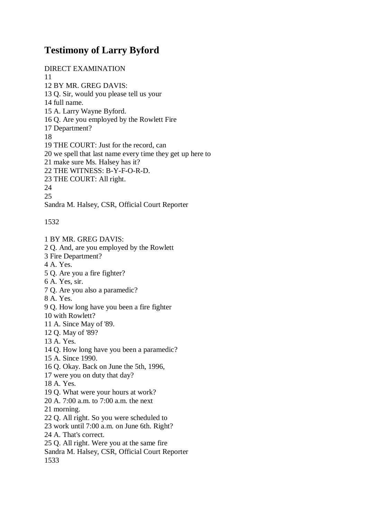## **Testimony of Larry Byford**

DIRECT EXAMINATION 11 12 BY MR. GREG DAVIS: 13 Q. Sir, would you please tell us your 14 full name. 15 A. Larry Wayne Byford. 16 Q. Are you employed by the Rowlett Fire 17 Department? 18 19 THE COURT: Just for the record, can 20 we spell that last name every time they get up here to 21 make sure Ms. Halsey has it? 22 THE WITNESS: B-Y-F-O-R-D. 23 THE COURT: All right. 24 25 Sandra M. Halsey, CSR, Official Court Reporter

1532

1 BY MR. GREG DAVIS: 2 Q. And, are you employed by the Rowlett 3 Fire Department? 4 A. Yes. 5 Q. Are you a fire fighter? 6 A. Yes, sir. 7 Q. Are you also a paramedic? 8 A. Yes. 9 Q. How long have you been a fire fighter 10 with Rowlett? 11 A. Since May of '89. 12 Q. May of '89? 13 A. Yes. 14 Q. How long have you been a paramedic? 15 A. Since 1990. 16 Q. Okay. Back on June the 5th, 1996, 17 were you on duty that day? 18 A. Yes. 19 Q. What were your hours at work? 20 A. 7:00 a.m. to 7:00 a.m. the next 21 morning. 22 Q. All right. So you were scheduled to 23 work until 7:00 a.m. on June 6th. Right? 24 A. That's correct. 25 Q. All right. Were you at the same fire Sandra M. Halsey, CSR, Official Court Reporter 1533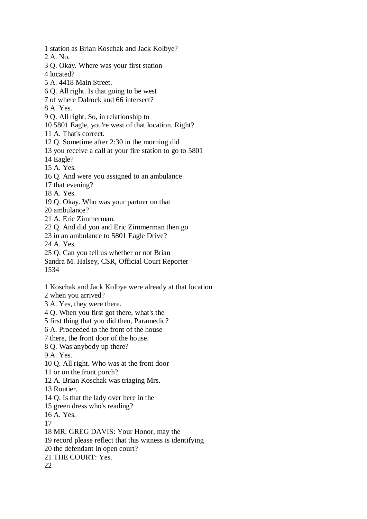1 station as Brian Koschak and Jack Kolbye? 2 A. No. 3 Q. Okay. Where was your first station 4 located? 5 A. 4418 Main Street. 6 Q. All right. Is that going to be west 7 of where Dalrock and 66 intersect? 8 A. Yes. 9 Q. All right. So, in relationship to 10 5801 Eagle, you're west of that location. Right? 11 A. That's correct. 12 Q. Sometime after 2:30 in the morning did 13 you receive a call at your fire station to go to 5801 14 Eagle? 15 A. Yes. 16 Q. And were you assigned to an ambulance 17 that evening? 18 A. Yes. 19 Q. Okay. Who was your partner on that 20 ambulance? 21 A. Eric Zimmerman. 22 Q. And did you and Eric Zimmerman then go 23 in an ambulance to 5801 Eagle Drive? 24 A. Yes. 25 Q. Can you tell us whether or not Brian Sandra M. Halsey, CSR, Official Court Reporter 1534 1 Koschak and Jack Kolbye were already at that location 2 when you arrived? 3 A. Yes, they were there.

4 Q. When you first got there, what's the

5 first thing that you did then, Paramedic?

6 A. Proceeded to the front of the house

7 there, the front door of the house.

8 Q. Was anybody up there?

9 A. Yes.

10 Q. All right. Who was at the front door

11 or on the front porch?

12 A. Brian Koschak was triaging Mrs.

13 Routier.

14 Q. Is that the lady over here in the

15 green dress who's reading?

16 A. Yes.

17

18 MR. GREG DAVIS: Your Honor, may the

19 record please reflect that this witness is identifying

20 the defendant in open court?

21 THE COURT: Yes.

22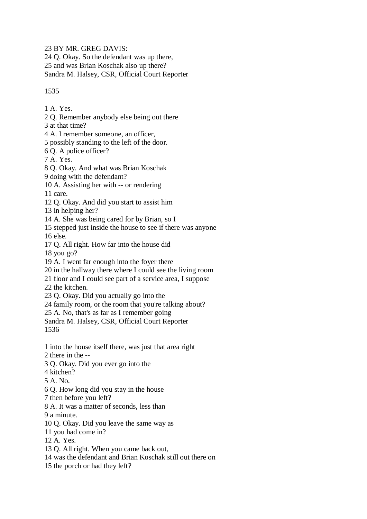23 BY MR. GREG DAVIS:

24 Q. Okay. So the defendant was up there,

25 and was Brian Koschak also up there?

Sandra M. Halsey, CSR, Official Court Reporter

## 1535

1 A. Yes.

2 Q. Remember anybody else being out there

3 at that time?

4 A. I remember someone, an officer,

5 possibly standing to the left of the door.

6 Q. A police officer?

7 A. Yes.

8 Q. Okay. And what was Brian Koschak

9 doing with the defendant?

10 A. Assisting her with -- or rendering

11 care.

12 Q. Okay. And did you start to assist him

13 in helping her?

14 A. She was being cared for by Brian, so I

15 stepped just inside the house to see if there was anyone 16 else.

17 Q. All right. How far into the house did

18 you go?

19 A. I went far enough into the foyer there

20 in the hallway there where I could see the living room

21 floor and I could see part of a service area, I suppose

22 the kitchen.

23 Q. Okay. Did you actually go into the

24 family room, or the room that you're talking about?

25 A. No, that's as far as I remember going

Sandra M. Halsey, CSR, Official Court Reporter

1536

1 into the house itself there, was just that area right

2 there in the --

3 Q. Okay. Did you ever go into the

4 kitchen?

5 A. No.

6 Q. How long did you stay in the house

7 then before you left?

8 A. It was a matter of seconds, less than

9 a minute.

10 Q. Okay. Did you leave the same way as

11 you had come in?

12 A. Yes.

13 Q. All right. When you came back out,

14 was the defendant and Brian Koschak still out there on

15 the porch or had they left?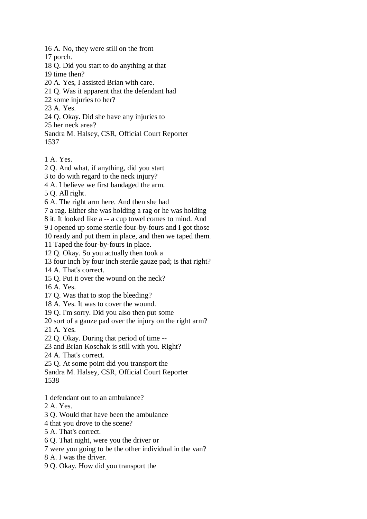16 A. No, they were still on the front

17 porch.

18 Q. Did you start to do anything at that

19 time then?

20 A. Yes, I assisted Brian with care.

21 Q. Was it apparent that the defendant had

22 some injuries to her?

23 A. Yes.

24 Q. Okay. Did she have any injuries to

25 her neck area?

Sandra M. Halsey, CSR, Official Court Reporter 1537

1 A. Yes.

2 Q. And what, if anything, did you start

3 to do with regard to the neck injury?

4 A. I believe we first bandaged the arm.

5 Q. All right.

6 A. The right arm here. And then she had

7 a rag. Either she was holding a rag or he was holding

8 it. It looked like a -- a cup towel comes to mind. And

9 I opened up some sterile four-by-fours and I got those

10 ready and put them in place, and then we taped them.

11 Taped the four-by-fours in place.

12 Q. Okay. So you actually then took a

13 four inch by four inch sterile gauze pad; is that right?

14 A. That's correct.

15 Q. Put it over the wound on the neck?

16 A. Yes.

17 Q. Was that to stop the bleeding?

18 A. Yes. It was to cover the wound.

19 Q. I'm sorry. Did you also then put some

20 sort of a gauze pad over the injury on the right arm?

21 A. Yes.

22 Q. Okay. During that period of time --

23 and Brian Koschak is still with you. Right?

24 A. That's correct.

25 Q. At some point did you transport the

Sandra M. Halsey, CSR, Official Court Reporter 1538

1 defendant out to an ambulance?

2 A. Yes.

3 Q. Would that have been the ambulance

4 that you drove to the scene?

5 A. That's correct.

6 Q. That night, were you the driver or

7 were you going to be the other individual in the van?

8 A. I was the driver.

9 Q. Okay. How did you transport the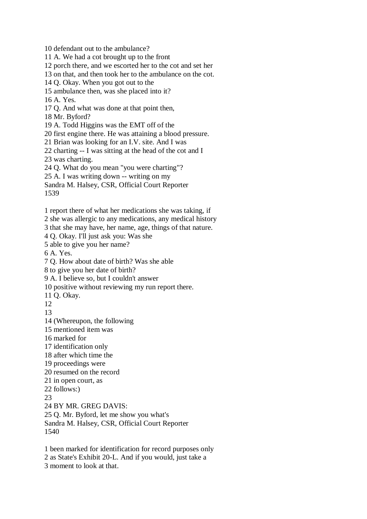10 defendant out to the ambulance? 11 A. We had a cot brought up to the front 12 porch there, and we escorted her to the cot and set her 13 on that, and then took her to the ambulance on the cot. 14 Q. Okay. When you got out to the 15 ambulance then, was she placed into it? 16 A. Yes. 17 Q. And what was done at that point then, 18 Mr. Byford? 19 A. Todd Higgins was the EMT off of the 20 first engine there. He was attaining a blood pressure. 21 Brian was looking for an I.V. site. And I was 22 charting -- I was sitting at the head of the cot and I 23 was charting. 24 Q. What do you mean "you were charting"? 25 A. I was writing down -- writing on my Sandra M. Halsey, CSR, Official Court Reporter 1539 1 report there of what her medications she was taking, if 2 she was allergic to any medications, any medical history 3 that she may have, her name, age, things of that nature. 4 Q. Okay. I'll just ask you: Was she 5 able to give you her name? 6 A. Yes. 7 Q. How about date of birth? Was she able 8 to give you her date of birth? 9 A. I believe so, but I couldn't answer 10 positive without reviewing my run report there. 11 Q. Okay. 12 13

14 (Whereupon, the following

15 mentioned item was

16 marked for

17 identification only

18 after which time the

19 proceedings were

20 resumed on the record

21 in open court, as

22 follows:)

23

24 BY MR. GREG DAVIS:

25 Q. Mr. Byford, let me show you what's

Sandra M. Halsey, CSR, Official Court Reporter 1540

1 been marked for identification for record purposes only 2 as State's Exhibit 20-L. And if you would, just take a 3 moment to look at that.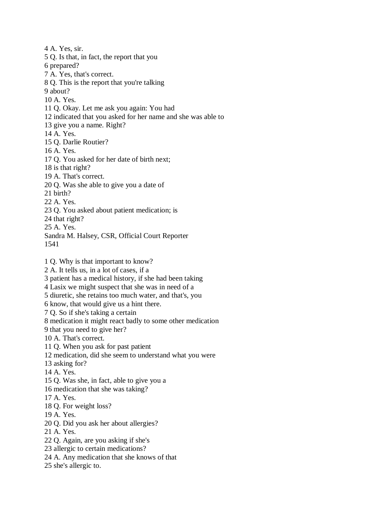4 A. Yes, sir. 5 Q. Is that, in fact, the report that you 6 prepared? 7 A. Yes, that's correct. 8 Q. This is the report that you're talking 9 about? 10 A. Yes. 11 Q. Okay. Let me ask you again: You had 12 indicated that you asked for her name and she was able to 13 give you a name. Right? 14 A. Yes. 15 Q. Darlie Routier? 16 A. Yes. 17 Q. You asked for her date of birth next; 18 is that right? 19 A. That's correct. 20 Q. Was she able to give you a date of 21 birth? 22 A. Yes. 23 Q. You asked about patient medication; is 24 that right? 25 A. Yes. Sandra M. Halsey, CSR, Official Court Reporter 1541 1 Q. Why is that important to know? 2 A. It tells us, in a lot of cases, if a 3 patient has a medical history, if she had been taking 4 Lasix we might suspect that she was in need of a 5 diuretic, she retains too much water, and that's, you 6 know, that would give us a hint there. 7 Q. So if she's taking a certain 8 medication it might react badly to some other medication 9 that you need to give her? 10 A. That's correct. 11 Q. When you ask for past patient 12 medication, did she seem to understand what you were 13 asking for? 14 A. Yes. 15 Q. Was she, in fact, able to give you a 16 medication that she was taking? 17 A. Yes. 18 Q. For weight loss? 19 A. Yes. 20 Q. Did you ask her about allergies? 21 A. Yes. 22 Q. Again, are you asking if she's 23 allergic to certain medications? 24 A. Any medication that she knows of that 25 she's allergic to.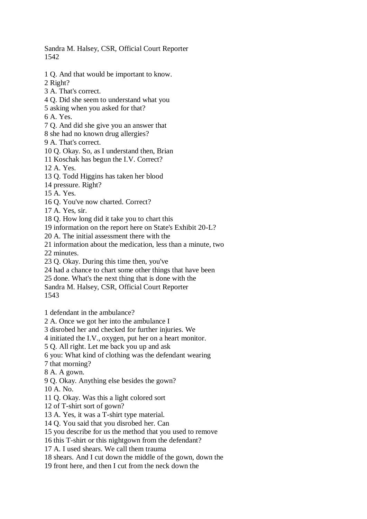Sandra M. Halsey, CSR, Official Court Reporter 1542

1 Q. And that would be important to know.

2 Right?

- 3 A. That's correct.
- 4 Q. Did she seem to understand what you
- 5 asking when you asked for that?

6 A. Yes.

7 Q. And did she give you an answer that

- 8 she had no known drug allergies?
- 9 A. That's correct.
- 10 Q. Okay. So, as I understand then, Brian
- 11 Koschak has begun the I.V. Correct?

12 A. Yes.

13 Q. Todd Higgins has taken her blood

14 pressure. Right?

15 A. Yes.

16 Q. You've now charted. Correct?

17 A. Yes, sir.

18 Q. How long did it take you to chart this

19 information on the report here on State's Exhibit 20-L?

20 A. The initial assessment there with the

21 information about the medication, less than a minute, two

22 minutes.

23 Q. Okay. During this time then, you've

24 had a chance to chart some other things that have been

25 done. What's the next thing that is done with the

Sandra M. Halsey, CSR, Official Court Reporter

1543

1 defendant in the ambulance?

2 A. Once we got her into the ambulance I

3 disrobed her and checked for further injuries. We

4 initiated the I.V., oxygen, put her on a heart monitor.

5 Q. All right. Let me back you up and ask

6 you: What kind of clothing was the defendant wearing

7 that morning?

8 A. A gown.

9 Q. Okay. Anything else besides the gown?

 $10 \text{ A}$ . No.

11 Q. Okay. Was this a light colored sort

12 of T-shirt sort of gown?

13 A. Yes, it was a T-shirt type material.

14 Q. You said that you disrobed her. Can

15 you describe for us the method that you used to remove

16 this T-shirt or this nightgown from the defendant?

17 A. I used shears. We call them trauma

18 shears. And I cut down the middle of the gown, down the

19 front here, and then I cut from the neck down the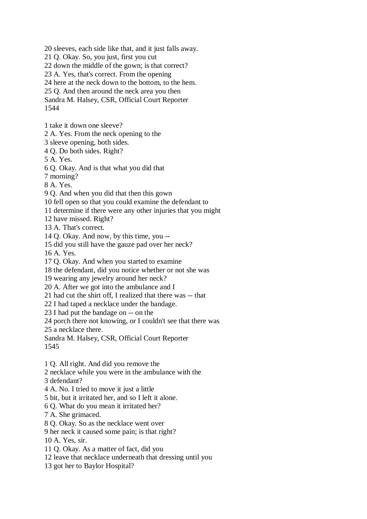20 sleeves, each side like that, and it just falls away.

21 Q. Okay. So, you just, first you cut

22 down the middle of the gown; is that correct?

23 A. Yes, that's correct. From the opening

24 here at the neck down to the bottom, to the hem.

25 Q. And then around the neck area you then

Sandra M. Halsey, CSR, Official Court Reporter 1544

1 take it down one sleeve?

2 A. Yes. From the neck opening to the

3 sleeve opening, both sides.

4 Q. Do both sides. Right?

5 A. Yes.

6 Q. Okay. And is that what you did that

7 morning?

8 A. Yes.

9 Q. And when you did that then this gown

10 fell open so that you could examine the defendant to

11 determine if there were any other injuries that you might

12 have missed. Right?

13 A. That's correct.

14 Q. Okay. And now, by this time, you --

15 did you still have the gauze pad over her neck?

16 A. Yes.

17 Q. Okay. And when you started to examine

18 the defendant, did you notice whether or not she was

19 wearing any jewelry around her neck?

20 A. After we got into the ambulance and I

21 had cut the shirt off, I realized that there was -- that

22 I had taped a necklace under the bandage.

23 I had put the bandage on -- on the

24 porch there not knowing, or I couldn't see that there was

25 a necklace there.

Sandra M. Halsey, CSR, Official Court Reporter 1545

1 Q. All right. And did you remove the

2 necklace while you were in the ambulance with the

3 defendant?

4 A. No. I tried to move it just a little

5 bit, but it irritated her, and so I left it alone.

6 Q. What do you mean it irritated her?

7 A. She grimaced.

8 Q. Okay. So as the necklace went over

9 her neck it caused some pain; is that right?

10 A. Yes, sir.

11 Q. Okay. As a matter of fact, did you

12 leave that necklace underneath that dressing until you

13 got her to Baylor Hospital?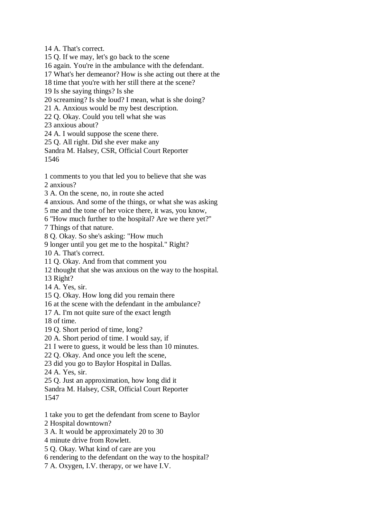14 A. That's correct.

15 Q. If we may, let's go back to the scene

16 again. You're in the ambulance with the defendant.

17 What's her demeanor? How is she acting out there at the

18 time that you're with her still there at the scene?

19 Is she saying things? Is she

20 screaming? Is she loud? I mean, what is she doing?

21 A. Anxious would be my best description.

22 Q. Okay. Could you tell what she was

23 anxious about?

24 A. I would suppose the scene there.

25 Q. All right. Did she ever make any

Sandra M. Halsey, CSR, Official Court Reporter 1546

1 comments to you that led you to believe that she was 2 anxious?

3 A. On the scene, no, in route she acted

4 anxious. And some of the things, or what she was asking

5 me and the tone of her voice there, it was, you know,

6 "How much further to the hospital? Are we there yet?"

7 Things of that nature.

8 Q. Okay. So she's asking: "How much

9 longer until you get me to the hospital." Right?

10 A. That's correct.

11 Q. Okay. And from that comment you

12 thought that she was anxious on the way to the hospital.

13 Right?

14 A. Yes, sir.

15 Q. Okay. How long did you remain there

16 at the scene with the defendant in the ambulance?

17 A. I'm not quite sure of the exact length

18 of time.

19 Q. Short period of time, long?

20 A. Short period of time. I would say, if

21 I were to guess, it would be less than 10 minutes.

22 Q. Okay. And once you left the scene,

23 did you go to Baylor Hospital in Dallas.

24 A. Yes, sir.

25 Q. Just an approximation, how long did it

Sandra M. Halsey, CSR, Official Court Reporter 1547

1 take you to get the defendant from scene to Baylor

2 Hospital downtown?

3 A. It would be approximately 20 to 30

4 minute drive from Rowlett.

5 Q. Okay. What kind of care are you

6 rendering to the defendant on the way to the hospital?

7 A. Oxygen, I.V. therapy, or we have I.V.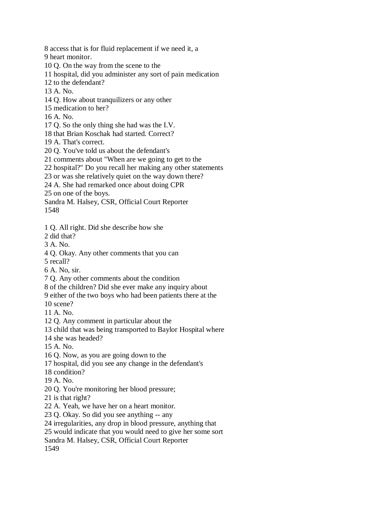8 access that is for fluid replacement if we need it, a

9 heart monitor.

10 Q. On the way from the scene to the

11 hospital, did you administer any sort of pain medication

12 to the defendant?

13 A. No.

14 Q. How about tranquilizers or any other

15 medication to her?

16 A. No.

17 Q. So the only thing she had was the I.V.

18 that Brian Koschak had started. Correct?

19 A. That's correct.

20 Q. You've told us about the defendant's

21 comments about "When are we going to get to the

22 hospital?" Do you recall her making any other statements

23 or was she relatively quiet on the way down there?

24 A. She had remarked once about doing CPR

25 on one of the boys.

Sandra M. Halsey, CSR, Official Court Reporter

1548

1 Q. All right. Did she describe how she

2 did that?

3 A. No.

4 Q. Okay. Any other comments that you can

5 recall?

6 A. No, sir.

7 Q. Any other comments about the condition

8 of the children? Did she ever make any inquiry about

9 either of the two boys who had been patients there at the

10 scene?

11 A. No.

12 Q. Any comment in particular about the

13 child that was being transported to Baylor Hospital where

14 she was headed?

15 A. No.

16 Q. Now, as you are going down to the

17 hospital, did you see any change in the defendant's

18 condition?

19 A. No.

20 Q. You're monitoring her blood pressure;

21 is that right?

22 A. Yeah, we have her on a heart monitor.

23 Q. Okay. So did you see anything -- any

24 irregularities, any drop in blood pressure, anything that

25 would indicate that you would need to give her some sort

Sandra M. Halsey, CSR, Official Court Reporter

1549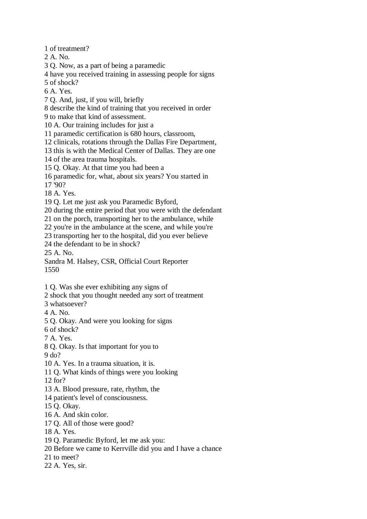1 of treatment?

2 A. No.

3 Q. Now, as a part of being a paramedic

4 have you received training in assessing people for signs

5 of shock?

6 A. Yes.

7 Q. And, just, if you will, briefly

8 describe the kind of training that you received in order

9 to make that kind of assessment.

10 A. Our training includes for just a

11 paramedic certification is 680 hours, classroom,

12 clinicals, rotations through the Dallas Fire Department,

13 this is with the Medical Center of Dallas. They are one

14 of the area trauma hospitals.

15 Q. Okay. At that time you had been a

16 paramedic for, what, about six years? You started in

17 '90?

18 A. Yes.

19 Q. Let me just ask you Paramedic Byford,

20 during the entire period that you were with the defendant

21 on the porch, transporting her to the ambulance, while

22 you're in the ambulance at the scene, and while you're

23 transporting her to the hospital, did you ever believe

24 the defendant to be in shock?

25 A. No.

Sandra M. Halsey, CSR, Official Court Reporter 1550

1 Q. Was she ever exhibiting any signs of

2 shock that you thought needed any sort of treatment

3 whatsoever?

4 A. No.

5 Q. Okay. And were you looking for signs

6 of shock?

7 A. Yes.

8 Q. Okay. Is that important for you to 9 do?

10 A. Yes. In a trauma situation, it is.

11 Q. What kinds of things were you looking

12 for?

13 A. Blood pressure, rate, rhythm, the

14 patient's level of consciousness.

15 Q. Okay.

16 A. And skin color.

17 Q. All of those were good?

18 A. Yes.

19 Q. Paramedic Byford, let me ask you:

20 Before we came to Kerrville did you and I have a chance

21 to meet?

22 A. Yes, sir.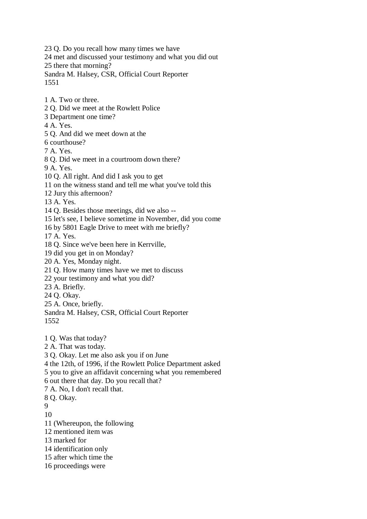23 Q. Do you recall how many times we have 24 met and discussed your testimony and what you did out 25 there that morning? Sandra M. Halsey, CSR, Official Court Reporter 1551

1 A. Two or three.

- 2 Q. Did we meet at the Rowlett Police
- 3 Department one time?

4 A. Yes.

5 Q. And did we meet down at the

6 courthouse?

7 A. Yes.

8 Q. Did we meet in a courtroom down there?

9 A. Yes.

10 Q. All right. And did I ask you to get

- 11 on the witness stand and tell me what you've told this
- 12 Jury this afternoon?

13 A. Yes.

14 Q. Besides those meetings, did we also --

15 let's see, I believe sometime in November, did you come

16 by 5801 Eagle Drive to meet with me briefly?

17 A. Yes.

18 Q. Since we've been here in Kerrville,

19 did you get in on Monday?

20 A. Yes, Monday night.

21 Q. How many times have we met to discuss

22 your testimony and what you did?

23 A. Briefly.

24 Q. Okay.

25 A. Once, briefly.

Sandra M. Halsey, CSR, Official Court Reporter 1552

1 Q. Was that today?

2 A. That was today.

3 Q. Okay. Let me also ask you if on June

4 the 12th, of 1996, if the Rowlett Police Department asked

5 you to give an affidavit concerning what you remembered

6 out there that day. Do you recall that?

7 A. No, I don't recall that.

8 Q. Okay.

9

10

11 (Whereupon, the following

12 mentioned item was

13 marked for

14 identification only

15 after which time the

16 proceedings were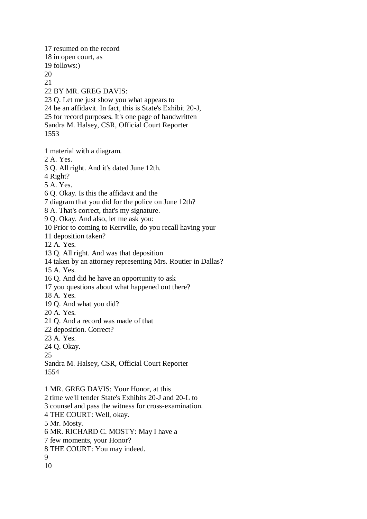17 resumed on the record 18 in open court, as 19 follows:) 20 21 22 BY MR. GREG DAVIS: 23 Q. Let me just show you what appears to 24 be an affidavit. In fact, this is State's Exhibit 20-J, 25 for record purposes. It's one page of handwritten Sandra M. Halsey, CSR, Official Court Reporter 1553

1 material with a diagram.

2 A. Yes.

3 Q. All right. And it's dated June 12th.

4 Right?

5 A. Yes.

6 Q. Okay. Is this the affidavit and the

7 diagram that you did for the police on June 12th?

8 A. That's correct, that's my signature.

9 Q. Okay. And also, let me ask you:

10 Prior to coming to Kerrville, do you recall having your

11 deposition taken?

12 A. Yes.

13 Q. All right. And was that deposition

14 taken by an attorney representing Mrs. Routier in Dallas?

15 A. Yes.

16 Q. And did he have an opportunity to ask

17 you questions about what happened out there?

18 A. Yes.

19 Q. And what you did?

20 A. Yes.

21 Q. And a record was made of that

22 deposition. Correct?

23 A. Yes.

24 Q. Okay.

25

Sandra M. Halsey, CSR, Official Court Reporter 1554

1 MR. GREG DAVIS: Your Honor, at this

2 time we'll tender State's Exhibits 20-J and 20-L to

3 counsel and pass the witness for cross-examination.

4 THE COURT: Well, okay.

5 Mr. Mosty.

6 MR. RICHARD C. MOSTY: May I have a

7 few moments, your Honor?

8 THE COURT: You may indeed.

9 10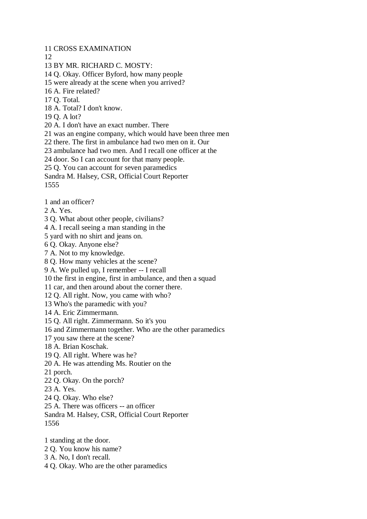11 CROSS EXAMINATION

12

- 13 BY MR. RICHARD C. MOSTY:
- 14 Q. Okay. Officer Byford, how many people
- 15 were already at the scene when you arrived?
- 16 A. Fire related?
- 17 Q. Total.
- 18 A. Total? I don't know.
- 19 Q. A lot?
- 20 A. I don't have an exact number. There
- 21 was an engine company, which would have been three men
- 22 there. The first in ambulance had two men on it. Our
- 23 ambulance had two men. And I recall one officer at the
- 24 door. So I can account for that many people.
- 25 Q. You can account for seven paramedics
- Sandra M. Halsey, CSR, Official Court Reporter

1555

- 1 and an officer?
- 2 A. Yes.
- 3 Q. What about other people, civilians?
- 4 A. I recall seeing a man standing in the
- 5 yard with no shirt and jeans on.
- 6 Q. Okay. Anyone else?
- 7 A. Not to my knowledge.
- 8 Q. How many vehicles at the scene?
- 9 A. We pulled up, I remember -- I recall
- 10 the first in engine, first in ambulance, and then a squad
- 11 car, and then around about the corner there.
- 12 Q. All right. Now, you came with who?
- 13 Who's the paramedic with you?
- 14 A. Eric Zimmermann.
- 15 Q. All right. Zimmermann. So it's you
- 16 and Zimmermann together. Who are the other paramedics
- 17 you saw there at the scene?
- 18 A. Brian Koschak.
- 19 Q. All right. Where was he?
- 20 A. He was attending Ms. Routier on the
- 21 porch.
- 22 Q. Okay. On the porch?
- 23 A. Yes.
- 24 Q. Okay. Who else?
- 25 A. There was officers -- an officer
- Sandra M. Halsey, CSR, Official Court Reporter 1556
- 1 standing at the door.
- 2 Q. You know his name?
- 3 A. No, I don't recall.
- 4 Q. Okay. Who are the other paramedics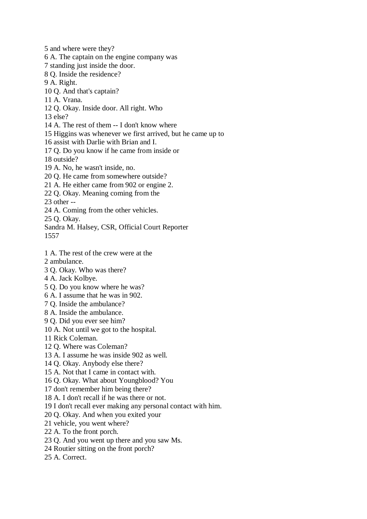5 and where were they?

6 A. The captain on the engine company was

7 standing just inside the door.

8 Q. Inside the residence?

9 A. Right.

10 Q. And that's captain?

- 11 A. Vrana.
- 12 Q. Okay. Inside door. All right. Who

13 else?

- 14 A. The rest of them -- I don't know where
- 15 Higgins was whenever we first arrived, but he came up to

16 assist with Darlie with Brian and I.

17 Q. Do you know if he came from inside or

18 outside?

19 A. No, he wasn't inside, no.

20 Q. He came from somewhere outside?

21 A. He either came from 902 or engine 2.

22 Q. Okay. Meaning coming from the

23 other --

24 A. Coming from the other vehicles.

25 Q. Okay.

Sandra M. Halsey, CSR, Official Court Reporter

1557

- 1 A. The rest of the crew were at the
- 2 ambulance.
- 3 Q. Okay. Who was there?
- 4 A. Jack Kolbye.
- 5 Q. Do you know where he was?
- 6 A. I assume that he was in 902.
- 7 Q. Inside the ambulance?
- 8 A. Inside the ambulance.
- 9 Q. Did you ever see him?
- 10 A. Not until we got to the hospital.

11 Rick Coleman.

- 12 Q. Where was Coleman?
- 13 A. I assume he was inside 902 as well.
- 14 Q. Okay. Anybody else there?
- 15 A. Not that I came in contact with.
- 16 Q. Okay. What about Youngblood? You
- 17 don't remember him being there?
- 18 A. I don't recall if he was there or not.
- 19 I don't recall ever making any personal contact with him.
- 20 Q. Okay. And when you exited your
- 21 vehicle, you went where?
- 22 A. To the front porch.
- 23 Q. And you went up there and you saw Ms.
- 24 Routier sitting on the front porch?
- 25 A. Correct.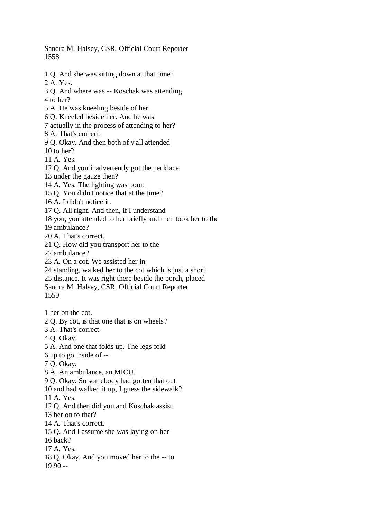Sandra M. Halsey, CSR, Official Court Reporter 1558

- 1 Q. And she was sitting down at that time?
- 2 A. Yes.

3 Q. And where was -- Koschak was attending

- 4 to her?
- 5 A. He was kneeling beside of her.
- 6 Q. Kneeled beside her. And he was

7 actually in the process of attending to her?

- 8 A. That's correct.
- 9 Q. Okay. And then both of y'all attended
- 10 to her?
- 11 A. Yes.
- 12 Q. And you inadvertently got the necklace
- 13 under the gauze then?
- 14 A. Yes. The lighting was poor.
- 15 Q. You didn't notice that at the time?
- 16 A. I didn't notice it.
- 17 Q. All right. And then, if I understand
- 18 you, you attended to her briefly and then took her to the

19 ambulance?

- 20 A. That's correct.
- 21 Q. How did you transport her to the
- 22 ambulance?
- 23 A. On a cot. We assisted her in
- 24 standing, walked her to the cot which is just a short
- 25 distance. It was right there beside the porch, placed
- Sandra M. Halsey, CSR, Official Court Reporter
- 1559
- 1 her on the cot.
- 2 Q. By cot, is that one that is on wheels?
- 3 A. That's correct.
- 4 Q. Okay.
- 5 A. And one that folds up. The legs fold
- 6 up to go inside of --
- 7 Q. Okay.
- 8 A. An ambulance, an MICU.
- 9 Q. Okay. So somebody had gotten that out
- 10 and had walked it up, I guess the sidewalk?
- 11 A. Yes.
- 12 Q. And then did you and Koschak assist
- 13 her on to that?
- 14 A. That's correct.
- 15 Q. And I assume she was laying on her
- 16 back?
- 17 A. Yes.
- 18 Q. Okay. And you moved her to the -- to
- 19 90 --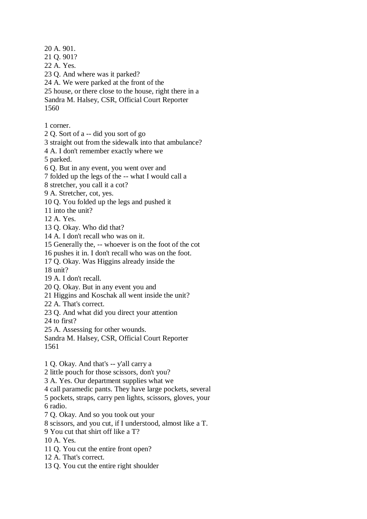20 A. 901. 21 Q. 901? 22 A. Yes. 23 Q. And where was it parked? 24 A. We were parked at the front of the 25 house, or there close to the house, right there in a Sandra M. Halsey, CSR, Official Court Reporter 1560 1 corner. 2 Q. Sort of a -- did you sort of go 3 straight out from the sidewalk into that ambulance? 4 A. I don't remember exactly where we 5 parked. 6 Q. But in any event, you went over and 7 folded up the legs of the -- what I would call a 8 stretcher, you call it a cot? 9 A. Stretcher, cot, yes. 10 Q. You folded up the legs and pushed it 11 into the unit? 12 A. Yes. 13 Q. Okay. Who did that? 14 A. I don't recall who was on it. 15 Generally the, -- whoever is on the foot of the cot 16 pushes it in. I don't recall who was on the foot. 17 Q. Okay. Was Higgins already inside the 18 unit? 19 A. I don't recall. 20 Q. Okay. But in any event you and 21 Higgins and Koschak all went inside the unit? 22 A. That's correct. 23 Q. And what did you direct your attention 24 to first? 25 A. Assessing for other wounds. Sandra M. Halsey, CSR, Official Court Reporter 1561 1 Q. Okay. And that's -- y'all carry a 2 little pouch for those scissors, don't you? 3 A. Yes. Our department supplies what we 4 call paramedic pants. They have large pockets, several 5 pockets, straps, carry pen lights, scissors, gloves, your 6 radio. 7 Q. Okay. And so you took out your 8 scissors, and you cut, if I understood, almost like a T. 9 You cut that shirt off like a T?

10 A. Yes.

- 11 Q. You cut the entire front open?
- 12 A. That's correct.
- 13 Q. You cut the entire right shoulder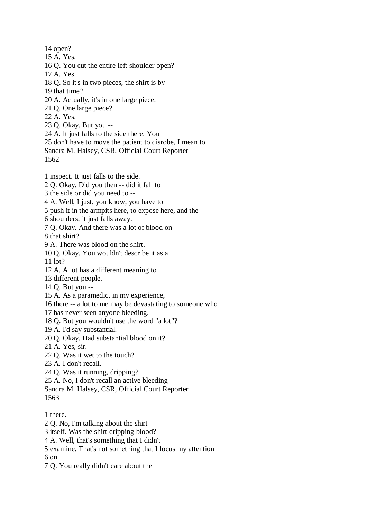14 open?

15 A. Yes.

16 Q. You cut the entire left shoulder open?

17 A. Yes.

18 Q. So it's in two pieces, the shirt is by

19 that time?

20 A. Actually, it's in one large piece.

21 Q. One large piece?

22 A. Yes.

23 Q. Okay. But you --

24 A. It just falls to the side there. You

25 don't have to move the patient to disrobe, I mean to

Sandra M. Halsey, CSR, Official Court Reporter

1562

1 inspect. It just falls to the side.

2 Q. Okay. Did you then -- did it fall to

3 the side or did you need to --

4 A. Well, I just, you know, you have to

5 push it in the armpits here, to expose here, and the

6 shoulders, it just falls away.

7 Q. Okay. And there was a lot of blood on

8 that shirt?

9 A. There was blood on the shirt.

10 Q. Okay. You wouldn't describe it as a

11 lot?

12 A. A lot has a different meaning to

13 different people.

14 Q. But you --

15 A. As a paramedic, in my experience,

16 there -- a lot to me may be devastating to someone who

17 has never seen anyone bleeding.

18 Q. But you wouldn't use the word "a lot"?

19 A. I'd say substantial.

20 Q. Okay. Had substantial blood on it?

21 A. Yes, sir.

22 Q. Was it wet to the touch?

23 A. I don't recall.

24 Q. Was it running, dripping?

25 A. No, I don't recall an active bleeding

Sandra M. Halsey, CSR, Official Court Reporter

1563

1 there.

2 Q. No, I'm talking about the shirt

3 itself. Was the shirt dripping blood?

4 A. Well, that's something that I didn't

5 examine. That's not something that I focus my attention

6 on.

7 Q. You really didn't care about the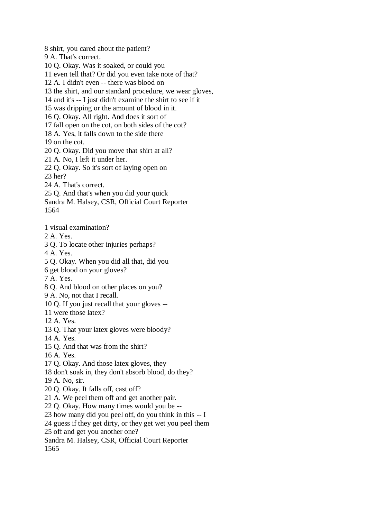8 shirt, you cared about the patient?

9 A. That's correct.

10 Q. Okay. Was it soaked, or could you

11 even tell that? Or did you even take note of that?

12 A. I didn't even -- there was blood on

13 the shirt, and our standard procedure, we wear gloves,

14 and it's -- I just didn't examine the shirt to see if it

15 was dripping or the amount of blood in it.

16 Q. Okay. All right. And does it sort of

17 fall open on the cot, on both sides of the cot?

18 A. Yes, it falls down to the side there

19 on the cot.

20 Q. Okay. Did you move that shirt at all?

21 A. No, I left it under her.

22 Q. Okay. So it's sort of laying open on

23 her?

24 A. That's correct.

25 Q. And that's when you did your quick

Sandra M. Halsey, CSR, Official Court Reporter

1564

1 visual examination?

2 A. Yes.

3 Q. To locate other injuries perhaps?

4 A. Yes.

5 Q. Okay. When you did all that, did you

6 get blood on your gloves?

7 A. Yes.

8 Q. And blood on other places on you?

9 A. No, not that I recall.

10 Q. If you just recall that your gloves --

11 were those latex?

12 A. Yes.

13 Q. That your latex gloves were bloody?

14 A. Yes.

15 Q. And that was from the shirt?

16 A. Yes.

17 Q. Okay. And those latex gloves, they

18 don't soak in, they don't absorb blood, do they?

19 A. No, sir.

20 Q. Okay. It falls off, cast off?

21 A. We peel them off and get another pair.

22 Q. Okay. How many times would you be --

23 how many did you peel off, do you think in this -- I

24 guess if they get dirty, or they get wet you peel them

25 off and get you another one?

Sandra M. Halsey, CSR, Official Court Reporter

1565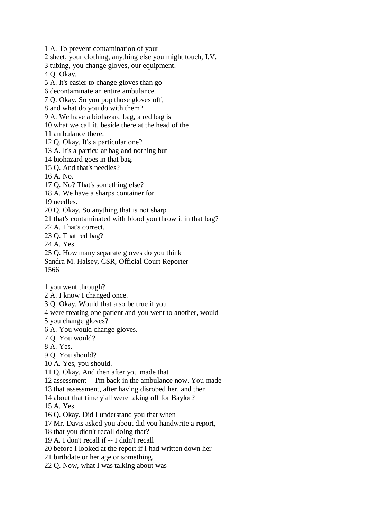1 A. To prevent contamination of your

2 sheet, your clothing, anything else you might touch, I.V.

3 tubing, you change gloves, our equipment.

4 Q. Okay.

5 A. It's easier to change gloves than go

6 decontaminate an entire ambulance.

7 Q. Okay. So you pop those gloves off,

8 and what do you do with them?

9 A. We have a biohazard bag, a red bag is

10 what we call it, beside there at the head of the

11 ambulance there.

12 Q. Okay. It's a particular one?

13 A. It's a particular bag and nothing but

14 biohazard goes in that bag.

15 Q. And that's needles?

16 A. No.

17 Q. No? That's something else?

18 A. We have a sharps container for

19 needles.

20 Q. Okay. So anything that is not sharp

21 that's contaminated with blood you throw it in that bag?

22 A. That's correct.

23 Q. That red bag?

24 A. Yes.

25 Q. How many separate gloves do you think

Sandra M. Halsey, CSR, Official Court Reporter 1566

1 you went through?

2 A. I know I changed once.

3 Q. Okay. Would that also be true if you

4 were treating one patient and you went to another, would

5 you change gloves?

6 A. You would change gloves.

7 Q. You would?

8 A. Yes.

9 Q. You should?

10 A. Yes, you should.

11 Q. Okay. And then after you made that

12 assessment -- I'm back in the ambulance now. You made

13 that assessment, after having disrobed her, and then

14 about that time y'all were taking off for Baylor?

15 A. Yes.

16 Q. Okay. Did I understand you that when

17 Mr. Davis asked you about did you handwrite a report,

18 that you didn't recall doing that?

19 A. I don't recall if -- I didn't recall

20 before I looked at the report if I had written down her

21 birthdate or her age or something.

22 Q. Now, what I was talking about was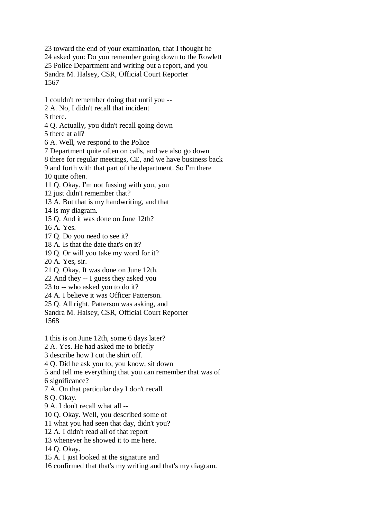23 toward the end of your examination, that I thought he 24 asked you: Do you remember going down to the Rowlett 25 Police Department and writing out a report, and you Sandra M. Halsey, CSR, Official Court Reporter 1567

1 couldn't remember doing that until you --

2 A. No, I didn't recall that incident

3 there.

4 Q. Actually, you didn't recall going down

5 there at all?

6 A. Well, we respond to the Police

7 Department quite often on calls, and we also go down

8 there for regular meetings, CE, and we have business back

9 and forth with that part of the department. So I'm there

10 quite often.

11 Q. Okay. I'm not fussing with you, you

12 just didn't remember that?

13 A. But that is my handwriting, and that

14 is my diagram.

15 Q. And it was done on June 12th?

16 A. Yes.

17 Q. Do you need to see it?

18 A. Is that the date that's on it?

19 Q. Or will you take my word for it?

20 A. Yes, sir.

21 Q. Okay. It was done on June 12th.

22 And they -- I guess they asked you

23 to -- who asked you to do it?

24 A. I believe it was Officer Patterson.

25 Q. All right. Patterson was asking, and

Sandra M. Halsey, CSR, Official Court Reporter 1568

1 this is on June 12th, some 6 days later?

2 A. Yes. He had asked me to briefly

3 describe how I cut the shirt off.

4 Q. Did he ask you to, you know, sit down

5 and tell me everything that you can remember that was of

6 significance?

7 A. On that particular day I don't recall.

8 Q. Okay.

9 A. I don't recall what all --

10 Q. Okay. Well, you described some of

11 what you had seen that day, didn't you?

12 A. I didn't read all of that report

13 whenever he showed it to me here.

14 Q. Okay.

15 A. I just looked at the signature and

16 confirmed that that's my writing and that's my diagram.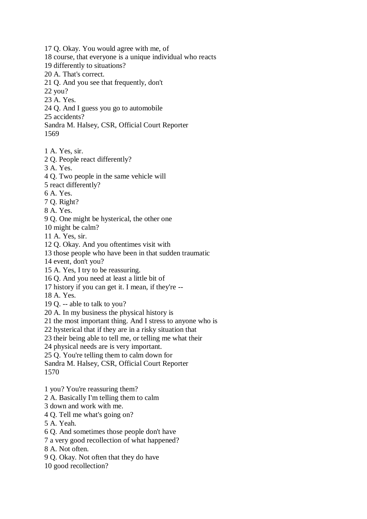17 Q. Okay. You would agree with me, of 18 course, that everyone is a unique individual who reacts 19 differently to situations? 20 A. That's correct. 21 Q. And you see that frequently, don't 22 you? 23 A. Yes. 24 Q. And I guess you go to automobile 25 accidents? Sandra M. Halsey, CSR, Official Court Reporter 1569 1 A. Yes, sir. 2 Q. People react differently? 3 A. Yes. 4 Q. Two people in the same vehicle will 5 react differently? 6 A. Yes. 7 Q. Right? 8 A. Yes. 9 Q. One might be hysterical, the other one 10 might be calm? 11 A. Yes, sir. 12 Q. Okay. And you oftentimes visit with 13 those people who have been in that sudden traumatic 14 event, don't you? 15 A. Yes, I try to be reassuring. 16 Q. And you need at least a little bit of 17 history if you can get it. I mean, if they're -- 18 A. Yes. 19 Q. -- able to talk to you? 20 A. In my business the physical history is 21 the most important thing. And I stress to anyone who is 22 hysterical that if they are in a risky situation that 23 their being able to tell me, or telling me what their 24 physical needs are is very important. 25 Q. You're telling them to calm down for Sandra M. Halsey, CSR, Official Court Reporter

1570

1 you? You're reassuring them?

2 A. Basically I'm telling them to calm

3 down and work with me.

4 Q. Tell me what's going on?

5 A. Yeah.

6 Q. And sometimes those people don't have

7 a very good recollection of what happened?

8 A. Not often.

9 Q. Okay. Not often that they do have

10 good recollection?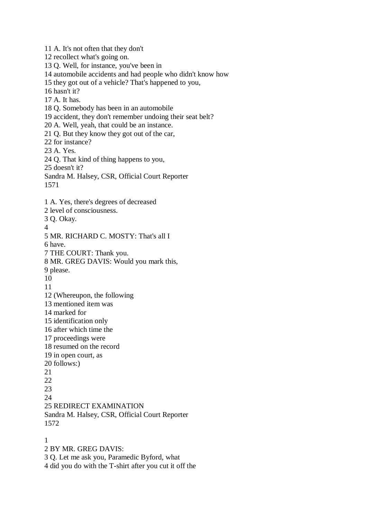11 A. It's not often that they don't 12 recollect what's going on. 13 Q. Well, for instance, you've been in 14 automobile accidents and had people who didn't know how 15 they got out of a vehicle? That's happened to you, 16 hasn't it? 17 A. It has. 18 Q. Somebody has been in an automobile 19 accident, they don't remember undoing their seat belt? 20 A. Well, yeah, that could be an instance. 21 Q. But they know they got out of the car, 22 for instance? 23 A. Yes. 24 Q. That kind of thing happens to you, 25 doesn't it? Sandra M. Halsey, CSR, Official Court Reporter 1571 1 A. Yes, there's degrees of decreased 2 level of consciousness. 3 Q. Okay. 4 5 MR. RICHARD C. MOSTY: That's all I 6 have. 7 THE COURT: Thank you. 8 MR. GREG DAVIS: Would you mark this, 9 please. 10 11 12 (Whereupon, the following 13 mentioned item was 14 marked for 15 identification only 16 after which time the 17 proceedings were 18 resumed on the record 19 in open court, as 20 follows:) 21 22 23  $24$ 25 REDIRECT EXAMINATION Sandra M. Halsey, CSR, Official Court Reporter 1572 1

2 BY MR. GREG DAVIS:

3 Q. Let me ask you, Paramedic Byford, what

4 did you do with the T-shirt after you cut it off the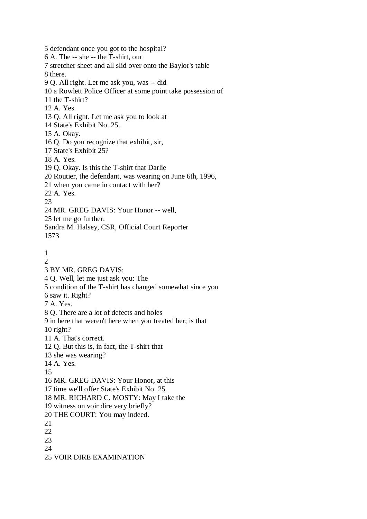5 defendant once you got to the hospital? 6 A. The -- she -- the T-shirt, our 7 stretcher sheet and all slid over onto the Baylor's table 8 there. 9 Q. All right. Let me ask you, was -- did 10 a Rowlett Police Officer at some point take possession of 11 the T-shirt? 12 A. Yes. 13 Q. All right. Let me ask you to look at 14 State's Exhibit No. 25. 15 A. Okay. 16 Q. Do you recognize that exhibit, sir, 17 State's Exhibit 25? 18 A. Yes. 19 Q. Okay. Is this the T-shirt that Darlie 20 Routier, the defendant, was wearing on June 6th, 1996, 21 when you came in contact with her? 22 A. Yes. 23 24 MR. GREG DAVIS: Your Honor -- well, 25 let me go further. Sandra M. Halsey, CSR, Official Court Reporter 1573 1  $\mathcal{D}$ 3 BY MR. GREG DAVIS: 4 Q. Well, let me just ask you: The 5 condition of the T-shirt has changed somewhat since you 6 saw it. Right? 7 A. Yes. 8 Q. There are a lot of defects and holes 9 in here that weren't here when you treated her; is that 10 right? 11 A. That's correct. 12 Q. But this is, in fact, the T-shirt that 13 she was wearing? 14 A. Yes. 15 16 MR. GREG DAVIS: Your Honor, at this 17 time we'll offer State's Exhibit No. 25. 18 MR. RICHARD C. MOSTY: May I take the 19 witness on voir dire very briefly? 20 THE COURT: You may indeed. 21 22 23 24 25 VOIR DIRE EXAMINATION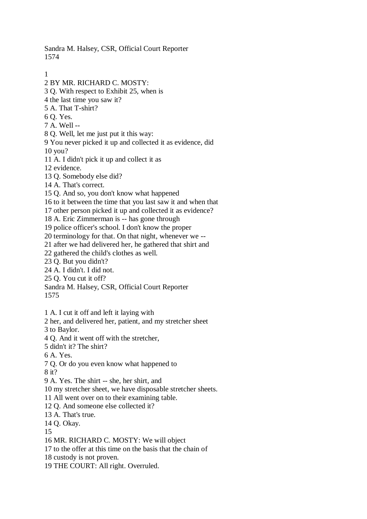Sandra M. Halsey, CSR, Official Court Reporter 1574

1

2 BY MR. RICHARD C. MOSTY:

3 Q. With respect to Exhibit 25, when is

4 the last time you saw it?

5 A. That T-shirt?

6 Q. Yes.

7 A. Well --

8 Q. Well, let me just put it this way:

9 You never picked it up and collected it as evidence, did 10 you?

11 A. I didn't pick it up and collect it as

12 evidence.

13 Q. Somebody else did?

14 A. That's correct.

15 Q. And so, you don't know what happened

16 to it between the time that you last saw it and when that

17 other person picked it up and collected it as evidence?

18 A. Eric Zimmerman is -- has gone through

19 police officer's school. I don't know the proper

20 terminology for that. On that night, whenever we --

21 after we had delivered her, he gathered that shirt and

22 gathered the child's clothes as well.

23 Q. But you didn't?

24 A. I didn't. I did not.

25 Q. You cut it off?

Sandra M. Halsey, CSR, Official Court Reporter

1575

1 A. I cut it off and left it laying with

2 her, and delivered her, patient, and my stretcher sheet

3 to Baylor.

4 Q. And it went off with the stretcher,

5 didn't it? The shirt?

6 A. Yes.

7 Q. Or do you even know what happened to

8 it?

9 A. Yes. The shirt -- she, her shirt, and

10 my stretcher sheet, we have disposable stretcher sheets.

11 All went over on to their examining table.

12 Q. And someone else collected it?

13 A. That's true.

14 Q. Okay.

15

16 MR. RICHARD C. MOSTY: We will object

17 to the offer at this time on the basis that the chain of

18 custody is not proven.

19 THE COURT: All right. Overruled.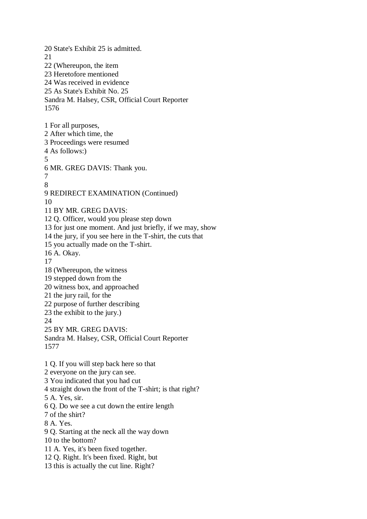20 State's Exhibit 25 is admitted. 21 22 (Whereupon, the item 23 Heretofore mentioned 24 Was received in evidence 25 As State's Exhibit No. 25 Sandra M. Halsey, CSR, Official Court Reporter 1576 1 For all purposes, 2 After which time, the 3 Proceedings were resumed 4 As follows:) 5 6 MR. GREG DAVIS: Thank you. 7 8 9 REDIRECT EXAMINATION (Continued) 10 11 BY MR. GREG DAVIS: 12 Q. Officer, would you please step down 13 for just one moment. And just briefly, if we may, show 14 the jury, if you see here in the T-shirt, the cuts that 15 you actually made on the T-shirt. 16 A. Okay. 17 18 (Whereupon, the witness 19 stepped down from the 20 witness box, and approached 21 the jury rail, for the 22 purpose of further describing 23 the exhibit to the jury.) 24 25 BY MR. GREG DAVIS: Sandra M. Halsey, CSR, Official Court Reporter 1577 1 Q. If you will step back here so that 2 everyone on the jury can see. 3 You indicated that you had cut 4 straight down the front of the T-shirt; is that right? 5 A. Yes, sir. 6 Q. Do we see a cut down the entire length 7 of the shirt? 8 A. Yes. 9 Q. Starting at the neck all the way down 10 to the bottom? 11 A. Yes, it's been fixed together. 12 Q. Right. It's been fixed. Right, but 13 this is actually the cut line. Right?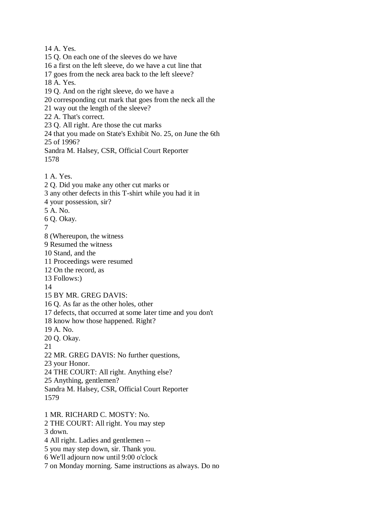14 A. Yes. 15 Q. On each one of the sleeves do we have 16 a first on the left sleeve, do we have a cut line that 17 goes from the neck area back to the left sleeve? 18 A. Yes. 19 Q. And on the right sleeve, do we have a 20 corresponding cut mark that goes from the neck all the 21 way out the length of the sleeve? 22 A. That's correct. 23 Q. All right. Are those the cut marks 24 that you made on State's Exhibit No. 25, on June the 6th 25 of 1996? Sandra M. Halsey, CSR, Official Court Reporter 1578 1 A. Yes. 2 Q. Did you make any other cut marks or 3 any other defects in this T-shirt while you had it in 4 your possession, sir? 5 A. No. 6 Q. Okay. 7 8 (Whereupon, the witness 9 Resumed the witness 10 Stand, and the 11 Proceedings were resumed 12 On the record, as 13 Follows:) 14 15 BY MR. GREG DAVIS: 16 Q. As far as the other holes, other 17 defects, that occurred at some later time and you don't 18 know how those happened. Right? 19 A. No. 20 Q. Okay. 21 22 MR. GREG DAVIS: No further questions, 23 your Honor. 24 THE COURT: All right. Anything else? 25 Anything, gentlemen? Sandra M. Halsey, CSR, Official Court Reporter 1579 1 MR. RICHARD C. MOSTY: No. 2 THE COURT: All right. You may step 3 down. 4 All right. Ladies and gentlemen --

5 you may step down, sir. Thank you.

6 We'll adjourn now until 9:00 o'clock

7 on Monday morning. Same instructions as always. Do no